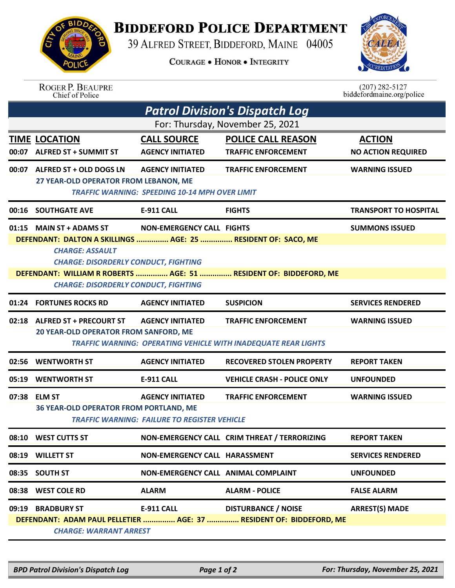## **BIDDEFORD POLICE DEPARTMENT**

39 ALFRED STREET, BIDDEFORD, MAINE 04005

**COURAGE . HONOR . INTEGRITY** 



| <b>ROGER P. BEAUPRE</b> |
|-------------------------|
| Chief of Police         |

 $(207)$  282-5127<br>biddefordmaine.org/police

| <b>Patrol Division's Dispatch Log</b>                                                                                                                                                          |                                                                                                                                                                    |                                                                                  |                                                                                              |                                            |  |  |  |  |
|------------------------------------------------------------------------------------------------------------------------------------------------------------------------------------------------|--------------------------------------------------------------------------------------------------------------------------------------------------------------------|----------------------------------------------------------------------------------|----------------------------------------------------------------------------------------------|--------------------------------------------|--|--|--|--|
| For: Thursday, November 25, 2021                                                                                                                                                               |                                                                                                                                                                    |                                                                                  |                                                                                              |                                            |  |  |  |  |
| 00:07                                                                                                                                                                                          | <b>TIME LOCATION</b><br><b>ALFRED ST + SUMMIT ST</b>                                                                                                               | <b>CALL SOURCE</b><br><b>AGENCY INITIATED</b>                                    | <b>POLICE CALL REASON</b><br><b>TRAFFIC ENFORCEMENT</b>                                      | <b>ACTION</b><br><b>NO ACTION REQUIRED</b> |  |  |  |  |
|                                                                                                                                                                                                | 00:07 ALFRED ST + OLD DOGS LN<br>27 YEAR-OLD OPERATOR FROM LEBANON, ME                                                                                             | <b>AGENCY INITIATED</b><br><b>TRAFFIC WARNING: SPEEDING 10-14 MPH OVER LIMIT</b> | <b>TRAFFIC ENFORCEMENT</b>                                                                   | <b>WARNING ISSUED</b>                      |  |  |  |  |
|                                                                                                                                                                                                | 00:16 SOUTHGATE AVE                                                                                                                                                | <b>E-911 CALL</b>                                                                | <b>FIGHTS</b>                                                                                | <b>TRANSPORT TO HOSPITAL</b>               |  |  |  |  |
|                                                                                                                                                                                                | 01:15 MAIN ST + ADAMS ST<br>DEFENDANT: DALTON A SKILLINGS  AGE: 25  RESIDENT OF: SACO, ME<br><b>CHARGE: ASSAULT</b><br><b>CHARGE: DISORDERLY CONDUCT, FIGHTING</b> | <b>NON-EMERGENCY CALL FIGHTS</b>                                                 |                                                                                              | <b>SUMMONS ISSUED</b>                      |  |  |  |  |
| DEFENDANT: WILLIAM R ROBERTS  AGE: 51  RESIDENT OF: BIDDEFORD, ME<br><b>CHARGE: DISORDERLY CONDUCT, FIGHTING</b>                                                                               |                                                                                                                                                                    |                                                                                  |                                                                                              |                                            |  |  |  |  |
| 01:24                                                                                                                                                                                          | <b>FORTUNES ROCKS RD</b>                                                                                                                                           | <b>AGENCY INITIATED</b>                                                          | <b>SUSPICION</b>                                                                             | <b>SERVICES RENDERED</b>                   |  |  |  |  |
|                                                                                                                                                                                                | 02:18 ALFRED ST + PRECOURT ST<br>20 YEAR-OLD OPERATOR FROM SANFORD, ME                                                                                             | <b>AGENCY INITIATED</b>                                                          | <b>TRAFFIC ENFORCEMENT</b><br>TRAFFIC WARNING: OPERATING VEHICLE WITH INADEQUATE REAR LIGHTS | <b>WARNING ISSUED</b>                      |  |  |  |  |
|                                                                                                                                                                                                | 02:56 WENTWORTH ST                                                                                                                                                 | <b>AGENCY INITIATED</b>                                                          | <b>RECOVERED STOLEN PROPERTY</b>                                                             | <b>REPORT TAKEN</b>                        |  |  |  |  |
|                                                                                                                                                                                                | 05:19 WENTWORTH ST                                                                                                                                                 | <b>E-911 CALL</b>                                                                | <b>VEHICLE CRASH - POLICE ONLY</b>                                                           | <b>UNFOUNDED</b>                           |  |  |  |  |
|                                                                                                                                                                                                | 07:38 ELM ST<br>36 YEAR-OLD OPERATOR FROM PORTLAND, ME                                                                                                             | <b>AGENCY INITIATED</b><br><b>TRAFFIC WARNING: FAILURE TO REGISTER VEHICLE</b>   | <b>TRAFFIC ENFORCEMENT</b>                                                                   | <b>WARNING ISSUED</b>                      |  |  |  |  |
|                                                                                                                                                                                                | 08:10 WEST CUTTS ST                                                                                                                                                |                                                                                  | NON-EMERGENCY CALL CRIM THREAT / TERRORIZING                                                 | <b>REPORT TAKEN</b>                        |  |  |  |  |
|                                                                                                                                                                                                | 08:19 WILLETT ST                                                                                                                                                   | NON-EMERGENCY CALL HARASSMENT                                                    |                                                                                              | <b>SERVICES RENDERED</b>                   |  |  |  |  |
|                                                                                                                                                                                                | 08:35 SOUTH ST                                                                                                                                                     | NON-EMERGENCY CALL ANIMAL COMPLAINT                                              |                                                                                              | <b>UNFOUNDED</b>                           |  |  |  |  |
|                                                                                                                                                                                                | 08:38 WEST COLE RD                                                                                                                                                 | <b>ALARM</b>                                                                     | <b>ALARM - POLICE</b>                                                                        | <b>FALSE ALARM</b>                         |  |  |  |  |
| <b>DISTURBANCE / NOISE</b><br><b>ARREST(S) MADE</b><br>09:19 BRADBURY ST<br>E-911 CALL<br>DEFENDANT: ADAM PAUL PELLETIER  AGE: 37  RESIDENT OF: BIDDEFORD, ME<br><b>CHARGE: WARRANT ARREST</b> |                                                                                                                                                                    |                                                                                  |                                                                                              |                                            |  |  |  |  |